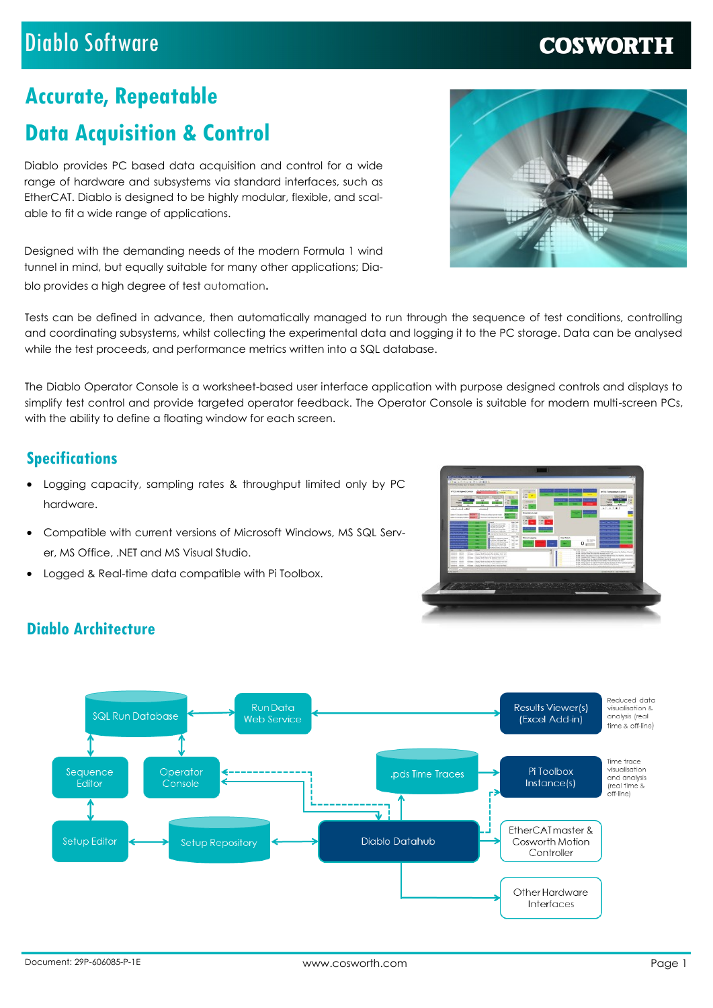### Diablo Software

### **COSWORTH**

# **Accurate, Repeatable**

# **Data Acquisition & Control**

Diablo provides PC based data acquisition and control for a wide range of hardware and subsystems via standard interfaces, such as EtherCAT. Diablo is designed to be highly modular, flexible, and scalable to fit a wide range of applications.

Designed with the demanding needs of the modern Formula 1 wind tunnel in mind, but equally suitable for many other applications; Diablo provides a high degree of test automation.

Tests can be defined in advance, then automatically managed to run through the sequence of test conditions, controlling and coordinating subsystems, whilst collecting the experimental data and logging it to the PC storage. Data can be analysed while the test proceeds, and performance metrics written into a SQL database.

The Diablo Operator Console is a worksheet-based user interface application with purpose designed controls and displays to simplify test control and provide targeted operator feedback. The Operator Console is suitable for modern multi-screen PCs, with the ability to define a floating window for each screen.

### **Specifications**

**Diablo Architecture** 

- Logging capacity, sampling rates & throughput limited only by PC hardware.
- Compatible with current versions of Microsoft Windows, MS SQL Server, MS Office, .NET and MS Visual Studio.
- Logged & Real-time data compatible with Pi Toolbox.



#### Reduced data **Run Data Results Viewer(s)** visualisation 8 **SQL Run Database** visoalisation i Web Service (Excel Add-in) time & off-line) Time trace Pi Toolbox Sedulence Operato ods Time Traces and analysis Instance(s) **Folito** .<br>Console freal time<sup>2</sup> ("car ....<br>off-line) EtherCAT master & **Setup Editor** Diablo Datahub Cosworth Motion **Setup Repository** Controller Other Hardware Interfaces